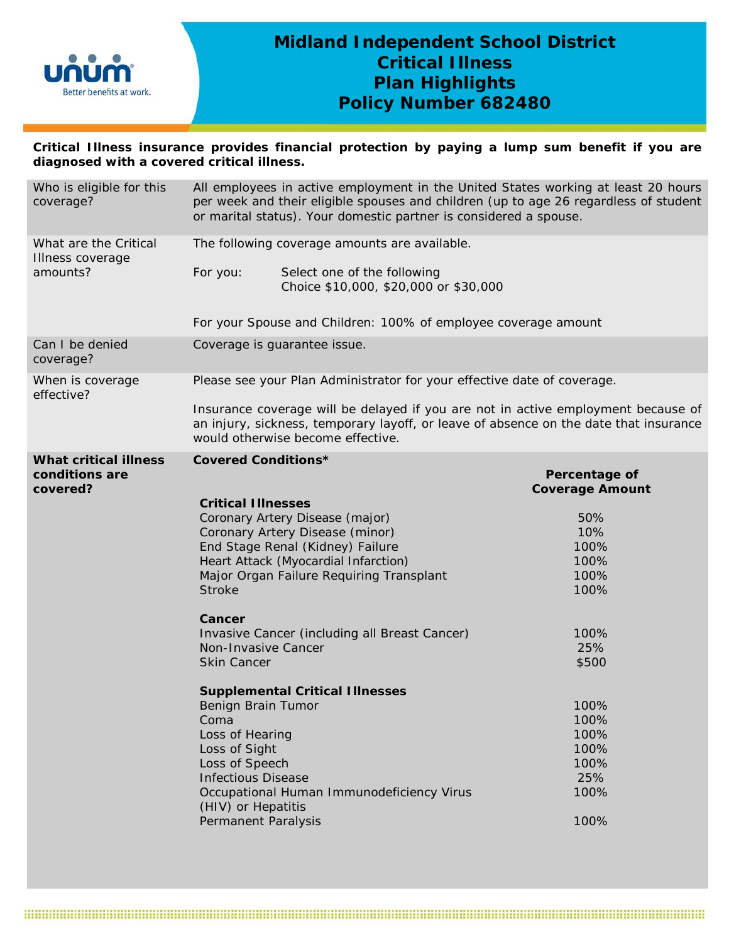

# **Midland Independent School District Critical Illness Plan Highlights Policy Number 682480**

**Critical Illness insurance provides financial protection by paying a lump sum benefit if you are diagnosed with a covered critical illness.** 

| Who is eligible for this<br>coverage?     | All employees in active employment in the United States working at least 20 hours<br>per week and their eligible spouses and children (up to age 26 regardless of student<br>or marital status). Your domestic partner is considered a spouse. |                                                                                                                                                                                                                 |                                         |  |
|-------------------------------------------|------------------------------------------------------------------------------------------------------------------------------------------------------------------------------------------------------------------------------------------------|-----------------------------------------------------------------------------------------------------------------------------------------------------------------------------------------------------------------|-----------------------------------------|--|
| What are the Critical<br>Illness coverage | The following coverage amounts are available.                                                                                                                                                                                                  |                                                                                                                                                                                                                 |                                         |  |
| amounts?                                  | For you:                                                                                                                                                                                                                                       | Select one of the following<br>Choice \$10,000, \$20,000 or \$30,000                                                                                                                                            |                                         |  |
|                                           |                                                                                                                                                                                                                                                | For your Spouse and Children: 100% of employee coverage amount                                                                                                                                                  |                                         |  |
| Can I be denied<br>coverage?              |                                                                                                                                                                                                                                                | Coverage is guarantee issue.                                                                                                                                                                                    |                                         |  |
| When is coverage<br>effective?            | Please see your Plan Administrator for your effective date of coverage.                                                                                                                                                                        |                                                                                                                                                                                                                 |                                         |  |
|                                           |                                                                                                                                                                                                                                                | Insurance coverage will be delayed if you are not in active employment because of<br>an injury, sickness, temporary layoff, or leave of absence on the date that insurance<br>would otherwise become effective. |                                         |  |
| <b>What critical illness</b>              | <b>Covered Conditions*</b>                                                                                                                                                                                                                     |                                                                                                                                                                                                                 |                                         |  |
| conditions are<br>covered?                |                                                                                                                                                                                                                                                |                                                                                                                                                                                                                 | Percentage of<br><b>Coverage Amount</b> |  |
|                                           | <b>Critical Illnesses</b>                                                                                                                                                                                                                      |                                                                                                                                                                                                                 |                                         |  |
|                                           |                                                                                                                                                                                                                                                | Coronary Artery Disease (major)                                                                                                                                                                                 | 50%                                     |  |
|                                           |                                                                                                                                                                                                                                                | Coronary Artery Disease (minor)                                                                                                                                                                                 | 10%                                     |  |
|                                           |                                                                                                                                                                                                                                                | End Stage Renal (Kidney) Failure                                                                                                                                                                                | 100%                                    |  |
|                                           |                                                                                                                                                                                                                                                | Heart Attack (Myocardial Infarction)                                                                                                                                                                            | 100%                                    |  |
|                                           |                                                                                                                                                                                                                                                | Major Organ Failure Requiring Transplant                                                                                                                                                                        | 100%                                    |  |
|                                           | <b>Stroke</b>                                                                                                                                                                                                                                  |                                                                                                                                                                                                                 | 100%                                    |  |
|                                           | Cancer                                                                                                                                                                                                                                         |                                                                                                                                                                                                                 |                                         |  |
|                                           |                                                                                                                                                                                                                                                | Invasive Cancer (including all Breast Cancer)                                                                                                                                                                   | 100%                                    |  |
|                                           | Non-Invasive Cancer                                                                                                                                                                                                                            |                                                                                                                                                                                                                 | 25%                                     |  |
|                                           | <b>Skin Cancer</b>                                                                                                                                                                                                                             |                                                                                                                                                                                                                 | \$500                                   |  |
|                                           |                                                                                                                                                                                                                                                | <b>Supplemental Critical Illnesses</b>                                                                                                                                                                          |                                         |  |
|                                           | <b>Benign Brain Tumor</b>                                                                                                                                                                                                                      |                                                                                                                                                                                                                 | 100%                                    |  |
|                                           | Coma                                                                                                                                                                                                                                           |                                                                                                                                                                                                                 | 100%                                    |  |
|                                           | Loss of Hearing                                                                                                                                                                                                                                |                                                                                                                                                                                                                 | 100%                                    |  |
|                                           | Loss of Sight                                                                                                                                                                                                                                  |                                                                                                                                                                                                                 | 100%                                    |  |
|                                           | Loss of Speech                                                                                                                                                                                                                                 |                                                                                                                                                                                                                 | 100%                                    |  |
|                                           | <b>Infectious Disease</b>                                                                                                                                                                                                                      |                                                                                                                                                                                                                 | 25%                                     |  |
|                                           | (HIV) or Hepatitis                                                                                                                                                                                                                             | Occupational Human Immunodeficiency Virus                                                                                                                                                                       | 100%                                    |  |
|                                           | Permanent Paralysis                                                                                                                                                                                                                            |                                                                                                                                                                                                                 | 100%                                    |  |
|                                           |                                                                                                                                                                                                                                                |                                                                                                                                                                                                                 |                                         |  |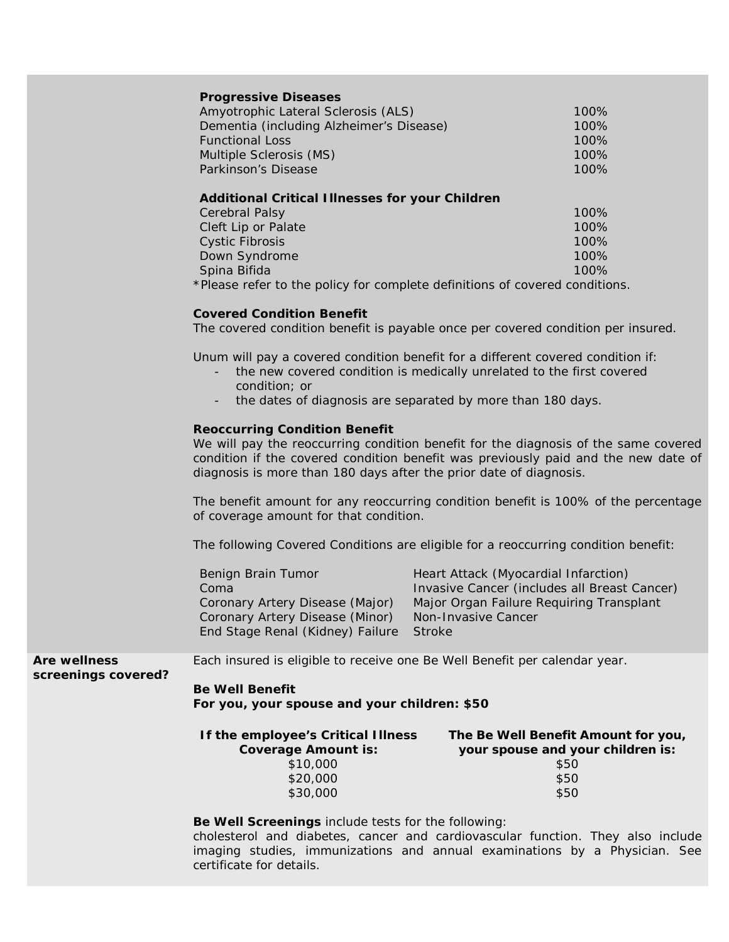# **Progressive Diseases**

| Amyotrophic Lateral Sclerosis (ALS)      | 100%    |
|------------------------------------------|---------|
| Dementia (including Alzheimer's Disease) | 100%    |
| <b>Functional Loss</b>                   | $100\%$ |
| Multiple Sclerosis (MS)                  | 100%    |
| Parkinson's Disease                      | $100\%$ |
|                                          |         |

## **Additional Critical Illnesses for your Children**

| <b>Cerebral Palsy</b>                                                        | 100%    |
|------------------------------------------------------------------------------|---------|
| Cleft Lip or Palate                                                          | 100%    |
| Cystic Fibrosis                                                              | 100%    |
| Down Syndrome                                                                | $100\%$ |
| Spina Bifida                                                                 | 100%    |
| t Dissa nafan ta tha mallar fan sannaiste sisfinitisme af sarranad sansiltis |         |

## \**Please refer to the policy for complete definitions of covered conditions.*

# **Covered Condition Benefit**

The covered condition benefit is payable once per covered condition per insured.

Unum will pay a covered condition benefit for a different covered condition if:

- the new covered condition is medically unrelated to the first covered condition; or
- the dates of diagnosis are separated by more than 180 days.

## **Reoccurring Condition Benefit**

We will pay the reoccurring condition benefit for the diagnosis of the same covered condition if the covered condition benefit was previously paid and the new date of diagnosis is more than 180 days after the prior date of diagnosis.

The benefit amount for any reoccurring condition benefit is 100% of the percentage of coverage amount for that condition.

The following Covered Conditions are eligible for a reoccurring condition benefit:

| Benign Brain Tumor               | Heart Attack (Myocardial Infarction)         |
|----------------------------------|----------------------------------------------|
| Coma                             | Invasive Cancer (includes all Breast Cancer) |
| Coronary Artery Disease (Major)  | Major Organ Failure Requiring Transplant     |
| Coronary Artery Disease (Minor)  | Non-Invasive Cancer                          |
| End Stage Renal (Kidney) Failure | Stroke                                       |

**Are wellness** 

Each insured is eligible to receive one Be Well Benefit per calendar year.

## **screenings covered?**

**Be Well Benefit For you, your spouse and your children: \$50**

| If the employee's Critical Illness | The Be Well Benefit Amount for you, |
|------------------------------------|-------------------------------------|
| <b>Coverage Amount is:</b>         | your spouse and your children is:   |
| \$10,000                           | \$50                                |
| \$20,000                           | \$50                                |
| \$30,000                           | \$50                                |

#### **Be Well Screenings** include tests for the following:

cholesterol and diabetes, cancer and cardiovascular function. They also include imaging studies, immunizations and annual examinations by a Physician. See certificate for details.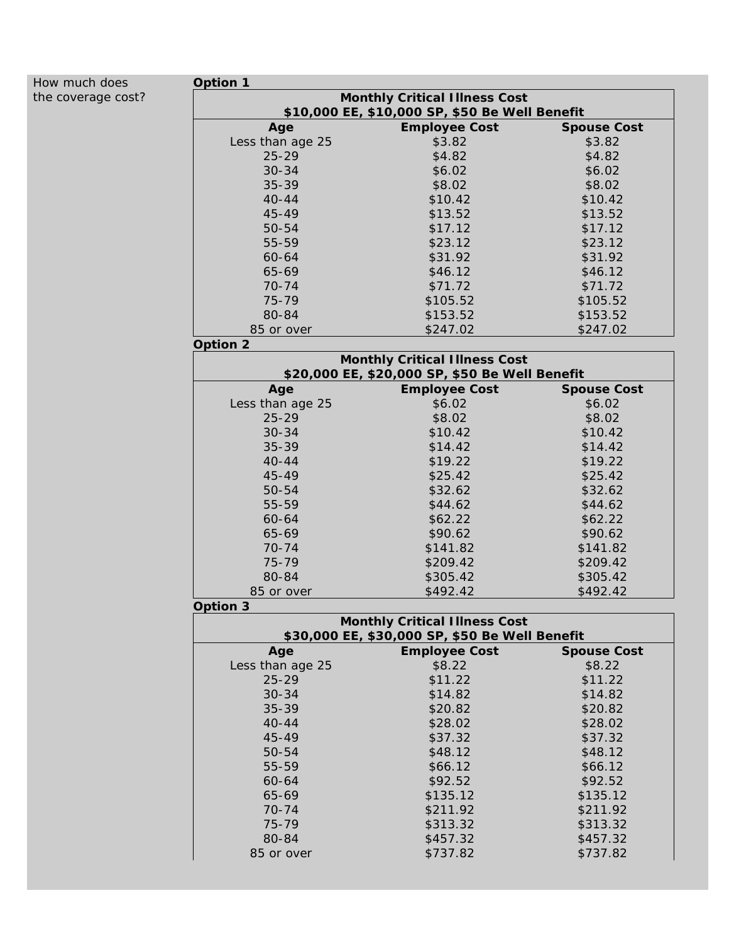| How much does      | Option 1                                       |                                                |                    |  |  |
|--------------------|------------------------------------------------|------------------------------------------------|--------------------|--|--|
| the coverage cost? | <b>Monthly Critical Illness Cost</b>           |                                                |                    |  |  |
|                    |                                                | \$10,000 EE, \$10,000 SP, \$50 Be Well Benefit |                    |  |  |
|                    | Age                                            | <b>Employee Cost</b>                           | <b>Spouse Cost</b> |  |  |
|                    | Less than age 25                               | \$3.82                                         | \$3.82             |  |  |
|                    | $25 - 29$                                      | \$4.82                                         | \$4.82             |  |  |
|                    | $30 - 34$                                      | \$6.02                                         | \$6.02             |  |  |
|                    | 35-39                                          | \$8.02                                         | \$8.02             |  |  |
|                    | $40 - 44$                                      | \$10.42                                        | \$10.42            |  |  |
|                    | 45-49                                          | \$13.52                                        | \$13.52            |  |  |
|                    | 50-54                                          | \$17.12                                        | \$17.12            |  |  |
|                    | 55-59                                          | \$23.12                                        | \$23.12            |  |  |
|                    | 60-64                                          | \$31.92                                        | \$31.92            |  |  |
|                    | 65-69                                          | \$46.12                                        | \$46.12            |  |  |
|                    | $70 - 74$                                      | \$71.72                                        | \$71.72            |  |  |
|                    | 75-79                                          | \$105.52                                       | \$105.52           |  |  |
|                    | 80-84                                          | \$153.52                                       | \$153.52           |  |  |
|                    | 85 or over                                     | \$247.02                                       | \$247.02           |  |  |
|                    | Option 2                                       |                                                |                    |  |  |
|                    |                                                | <b>Monthly Critical Illness Cost</b>           |                    |  |  |
|                    |                                                | \$20,000 EE, \$20,000 SP, \$50 Be Well Benefit |                    |  |  |
|                    | Age                                            | <b>Employee Cost</b>                           | <b>Spouse Cost</b> |  |  |
|                    | Less than age 25                               | \$6.02                                         | \$6.02             |  |  |
|                    | $25 - 29$                                      | \$8.02                                         | \$8.02             |  |  |
|                    | $30 - 34$                                      | \$10.42                                        | \$10.42            |  |  |
|                    | 35-39                                          | \$14.42                                        | \$14.42            |  |  |
|                    | $40 - 44$                                      | \$19.22                                        | \$19.22            |  |  |
|                    | 45-49                                          | \$25.42                                        | \$25.42            |  |  |
|                    | 50-54                                          | \$32.62                                        | \$32.62            |  |  |
|                    | 55-59                                          | \$44.62                                        | \$44.62            |  |  |
|                    | 60-64                                          | \$62.22                                        | \$62.22            |  |  |
|                    | 65-69                                          | \$90.62                                        | \$90.62            |  |  |
|                    | $70 - 74$                                      | \$141.82                                       | \$141.82           |  |  |
|                    | 75-79                                          | \$209.42                                       | \$209.42           |  |  |
|                    | 80-84                                          | \$305.42                                       | \$305.42           |  |  |
|                    | 85 or over                                     | \$492.42                                       | \$492.42           |  |  |
|                    | Option 3                                       |                                                |                    |  |  |
|                    |                                                | <b>Monthly Critical Illness Cost</b>           |                    |  |  |
|                    | \$30,000 EE, \$30,000 SP, \$50 Be Well Benefit |                                                |                    |  |  |
|                    | Age                                            | <b>Employee Cost</b>                           | <b>Spouse Cost</b> |  |  |
|                    | Less than age 25                               | \$8.22                                         | \$8.22             |  |  |
|                    | $25 - 29$                                      | \$11.22                                        | \$11.22            |  |  |
|                    | $30 - 34$                                      | \$14.82                                        | \$14.82            |  |  |
|                    | 35-39                                          | \$20.82                                        | \$20.82            |  |  |
|                    | $40 - 44$                                      | \$28.02                                        | \$28.02            |  |  |
|                    | 45-49                                          | \$37.32                                        | \$37.32            |  |  |
|                    | 50-54                                          | \$48.12                                        | \$48.12            |  |  |
|                    | 55-59                                          | \$66.12                                        | \$66.12            |  |  |
|                    | 60-64                                          | \$92.52                                        | \$92.52            |  |  |
|                    | 65-69                                          | \$135.12                                       | \$135.12           |  |  |
|                    | $70 - 74$                                      | \$211.92                                       | \$211.92           |  |  |
|                    | 75-79                                          |                                                |                    |  |  |
|                    |                                                | \$313.32                                       | \$313.32           |  |  |
|                    | 80-84                                          | \$457.32                                       | \$457.32           |  |  |
|                    | 85 or over                                     | \$737.82                                       | \$737.82           |  |  |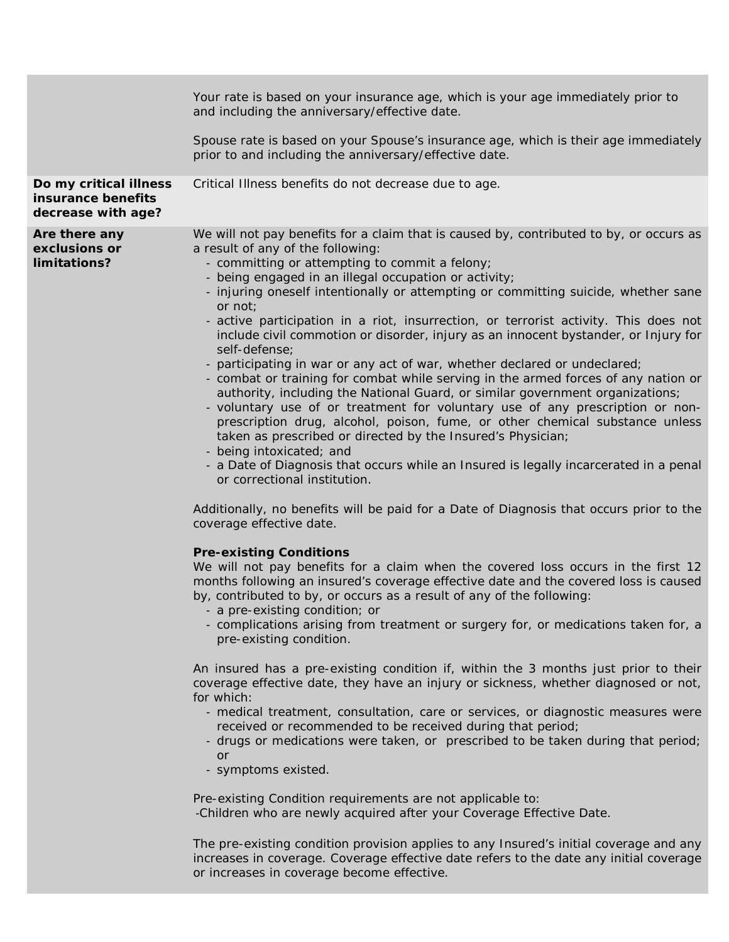|                                                                    | Your rate is based on your insurance age, which is your age immediately prior to<br>and including the anniversary/effective date.<br>Spouse rate is based on your Spouse's insurance age, which is their age immediately<br>prior to and including the anniversary/effective date.                                                                                                                                                                                                                                                                                                                                                                                                                                                                                                                                                                                                                                                                                                                                                                                                                                                                                                                                                                                                                                                                                                                                                                                                                                                                                                                                                                                                                                                                                                                                                                                                                                                                                                                                                                                                                                                                                                                                                                                                                                                                       |
|--------------------------------------------------------------------|----------------------------------------------------------------------------------------------------------------------------------------------------------------------------------------------------------------------------------------------------------------------------------------------------------------------------------------------------------------------------------------------------------------------------------------------------------------------------------------------------------------------------------------------------------------------------------------------------------------------------------------------------------------------------------------------------------------------------------------------------------------------------------------------------------------------------------------------------------------------------------------------------------------------------------------------------------------------------------------------------------------------------------------------------------------------------------------------------------------------------------------------------------------------------------------------------------------------------------------------------------------------------------------------------------------------------------------------------------------------------------------------------------------------------------------------------------------------------------------------------------------------------------------------------------------------------------------------------------------------------------------------------------------------------------------------------------------------------------------------------------------------------------------------------------------------------------------------------------------------------------------------------------------------------------------------------------------------------------------------------------------------------------------------------------------------------------------------------------------------------------------------------------------------------------------------------------------------------------------------------------------------------------------------------------------------------------------------------------|
| Do my critical illness<br>insurance benefits<br>decrease with age? | Critical Illness benefits do not decrease due to age.                                                                                                                                                                                                                                                                                                                                                                                                                                                                                                                                                                                                                                                                                                                                                                                                                                                                                                                                                                                                                                                                                                                                                                                                                                                                                                                                                                                                                                                                                                                                                                                                                                                                                                                                                                                                                                                                                                                                                                                                                                                                                                                                                                                                                                                                                                    |
| Are there any<br>exclusions or<br>limitations?                     | We will not pay benefits for a claim that is caused by, contributed to by, or occurs as<br>a result of any of the following:<br>- committing or attempting to commit a felony;<br>- being engaged in an illegal occupation or activity;<br>- injuring oneself intentionally or attempting or committing suicide, whether sane<br>or not;<br>- active participation in a riot, insurrection, or terrorist activity. This does not<br>include civil commotion or disorder, injury as an innocent bystander, or Injury for<br>self-defense;<br>- participating in war or any act of war, whether declared or undeclared;<br>- combat or training for combat while serving in the armed forces of any nation or<br>authority, including the National Guard, or similar government organizations;<br>- voluntary use of or treatment for voluntary use of any prescription or non-<br>prescription drug, alcohol, poison, fume, or other chemical substance unless<br>taken as prescribed or directed by the Insured's Physician;<br>- being intoxicated; and<br>- a Date of Diagnosis that occurs while an Insured is legally incarcerated in a penal<br>or correctional institution.<br>Additionally, no benefits will be paid for a Date of Diagnosis that occurs prior to the<br>coverage effective date.<br><b>Pre-existing Conditions</b><br>We will not pay benefits for a claim when the covered loss occurs in the first 12<br>months following an insured's coverage effective date and the covered loss is caused<br>by, contributed to by, or occurs as a result of any of the following:<br>- a pre-existing condition; or<br>- complications arising from treatment or surgery for, or medications taken for, a<br>pre-existing condition.<br>An insured has a pre-existing condition if, within the 3 months just prior to their<br>coverage effective date, they have an injury or sickness, whether diagnosed or not,<br>for which:<br>- medical treatment, consultation, care or services, or diagnostic measures were<br>received or recommended to be received during that period;<br>- drugs or medications were taken, or prescribed to be taken during that period;<br>or<br>- symptoms existed.<br>Pre-existing Condition requirements are not applicable to:<br>-Children who are newly acquired after your Coverage Effective Date. |
|                                                                    | The pre-existing condition provision applies to any Insured's initial coverage and any                                                                                                                                                                                                                                                                                                                                                                                                                                                                                                                                                                                                                                                                                                                                                                                                                                                                                                                                                                                                                                                                                                                                                                                                                                                                                                                                                                                                                                                                                                                                                                                                                                                                                                                                                                                                                                                                                                                                                                                                                                                                                                                                                                                                                                                                   |

The pre-existing condition provision applies to any Insured's initial coverage and any increases in coverage. Coverage effective date refers to the date any initial coverage or increases in coverage become effective.